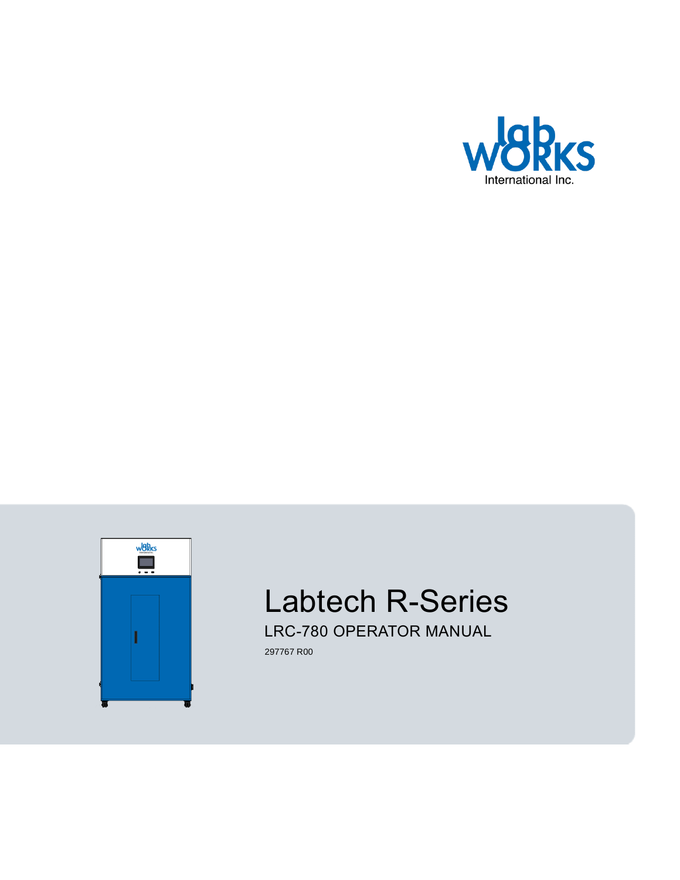



# Labtech R-Series

LRC-780 OPERATOR MANUAL

 [297767](#page-1-0) [R00](#page-1-1)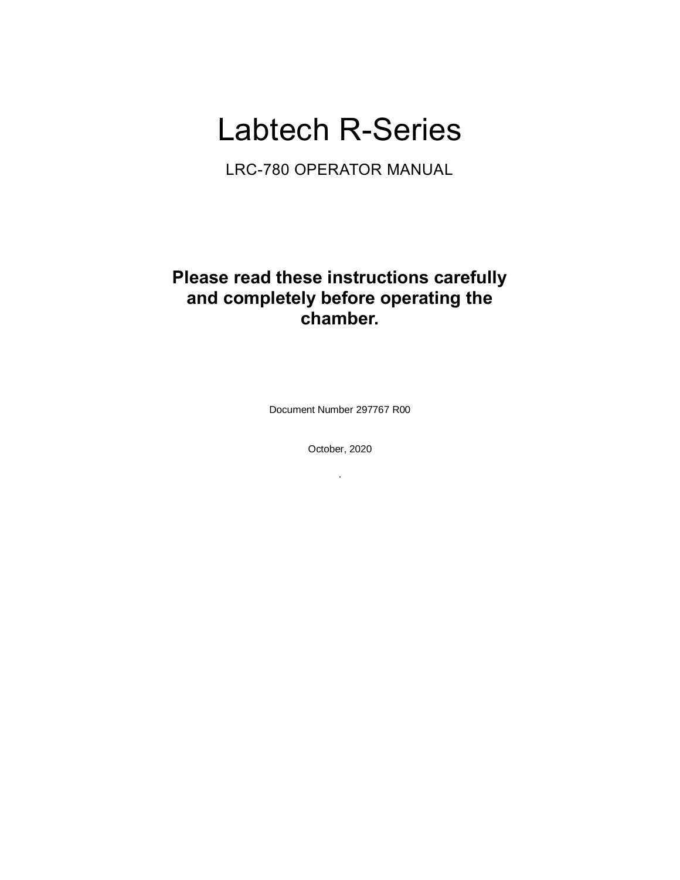# Labtech R-Series

LRC-780 OPERATOR MANUAL

# **Please read these instructions carefully and completely before operating the chamber.**

<span id="page-1-2"></span>Document Number 297767 R00

<span id="page-1-0"></span>October, 2020

<span id="page-1-1"></span>.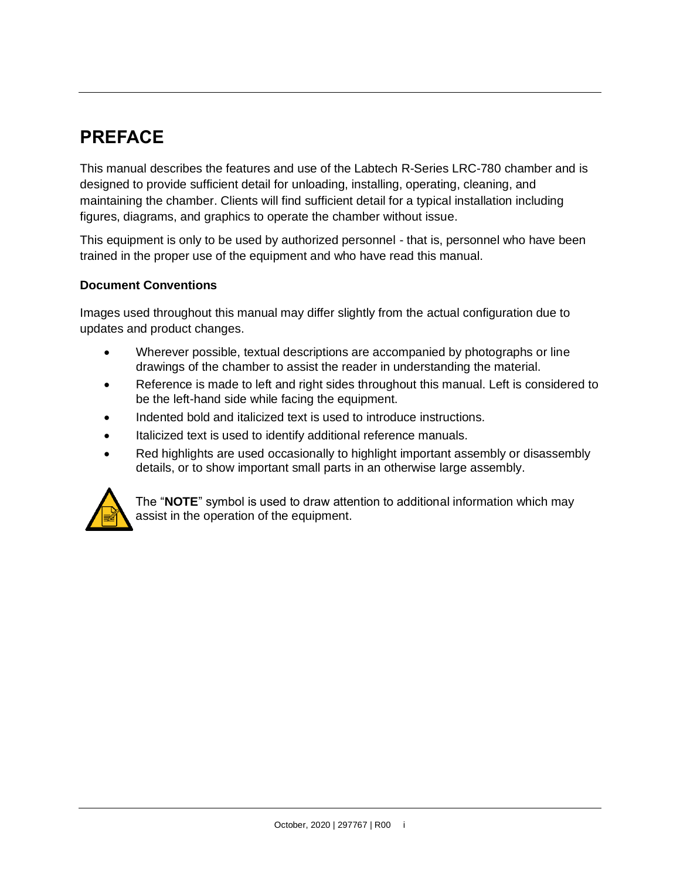# **PREFACE**

This manual describes the features and use of the Labtech R-Series LRC-780 chamber and is designed to provide sufficient detail for unloading, installing, operating, cleaning, and maintaining the chamber. Clients will find sufficient detail for a typical installation including figures, diagrams, and graphics to operate the chamber without issue.

This equipment is only to be used by authorized personnel - that is, personnel who have been trained in the proper use of the equipment and who have read this manual.

### **Document Conventions**

Images used throughout this manual may differ slightly from the actual configuration due to updates and product changes.

- Wherever possible, textual descriptions are accompanied by photographs or line drawings of the chamber to assist the reader in understanding the material.
- Reference is made to left and right sides throughout this manual. Left is considered to be the left-hand side while facing the equipment.
- Indented bold and italicized text is used to introduce instructions.
- Italicized text is used to identify additional reference manuals.
- Red highlights are used occasionally to highlight important assembly or disassembly details, or to show important small parts in an otherwise large assembly.



The "**NOTE**" symbol is used to draw attention to additional information which may assist in the operation of the equipment.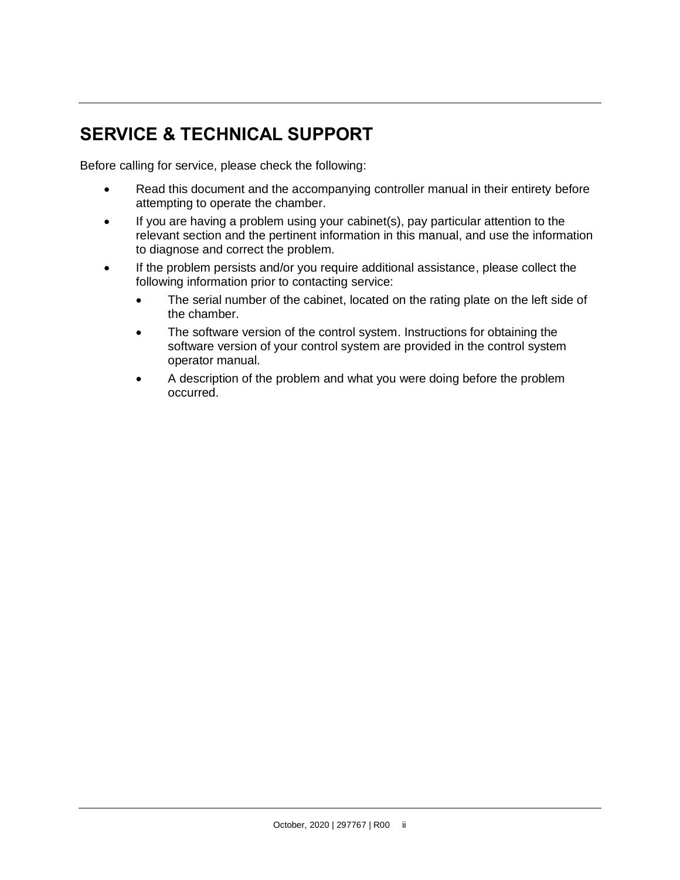# **SERVICE & TECHNICAL SUPPORT**

Before calling for service, please check the following:

- Read this document and the accompanying controller manual in their entirety before attempting to operate the chamber.
- If you are having a problem using your cabinet(s), pay particular attention to the relevant section and the pertinent information in this manual, and use the information to diagnose and correct the problem.
- If the problem persists and/or you require additional assistance, please collect the following information prior to contacting service:
	- The serial number of the cabinet, located on the rating plate on the left side of the chamber.
	- The software version of the control system. Instructions for obtaining the software version of your control system are provided in the control system operator manual.
	- A description of the problem and what you were doing before the problem occurred.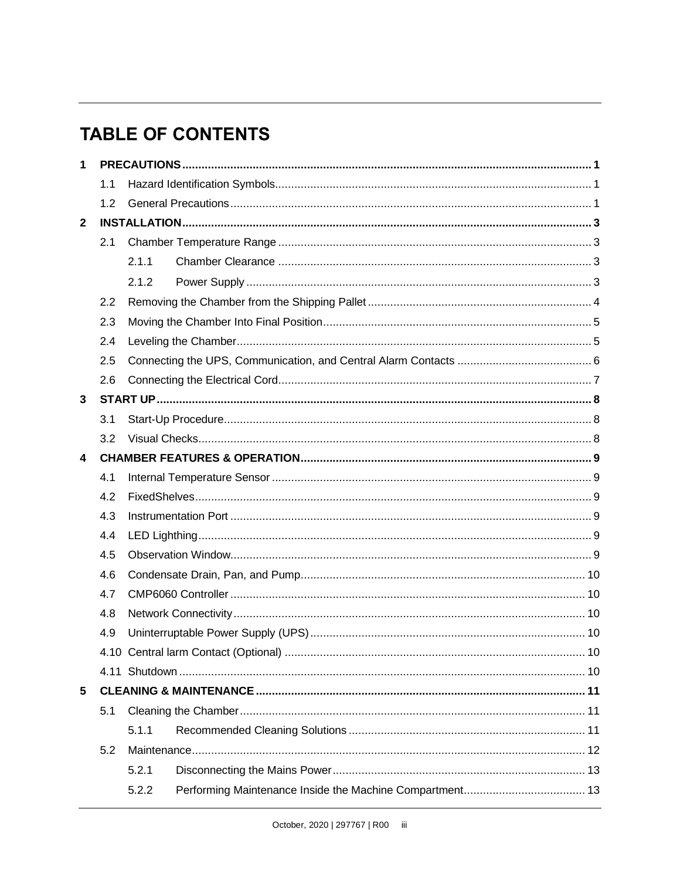# **TABLE OF CONTENTS**

| $\mathbf{1}$   |     |       |  |     |  |
|----------------|-----|-------|--|-----|--|
|                | 1.1 |       |  |     |  |
| 1.2            |     |       |  |     |  |
| $\overline{2}$ |     |       |  |     |  |
|                | 2.1 |       |  |     |  |
|                |     | 2.1.1 |  |     |  |
|                |     | 2.1.2 |  |     |  |
|                | 2.2 |       |  |     |  |
|                | 2.3 |       |  |     |  |
|                | 2.4 |       |  |     |  |
|                | 2.5 |       |  |     |  |
|                | 2.6 |       |  |     |  |
| 3              |     |       |  |     |  |
|                | 3.1 |       |  |     |  |
|                | 3.2 |       |  |     |  |
| 4              |     |       |  |     |  |
|                | 4.1 |       |  |     |  |
|                | 4.2 |       |  |     |  |
|                | 4.3 |       |  |     |  |
|                | 4.4 |       |  |     |  |
|                | 4.5 |       |  |     |  |
|                | 4.6 |       |  |     |  |
|                | 4.7 |       |  |     |  |
|                | 4.8 |       |  |     |  |
|                | 4.9 |       |  |     |  |
|                |     |       |  | .10 |  |
|                |     |       |  |     |  |
| 5              |     |       |  |     |  |
|                | 5.1 |       |  |     |  |
|                |     | 5.1.1 |  |     |  |
|                | 5.2 |       |  |     |  |
|                |     | 5.2.1 |  |     |  |
|                |     | 5.2.2 |  |     |  |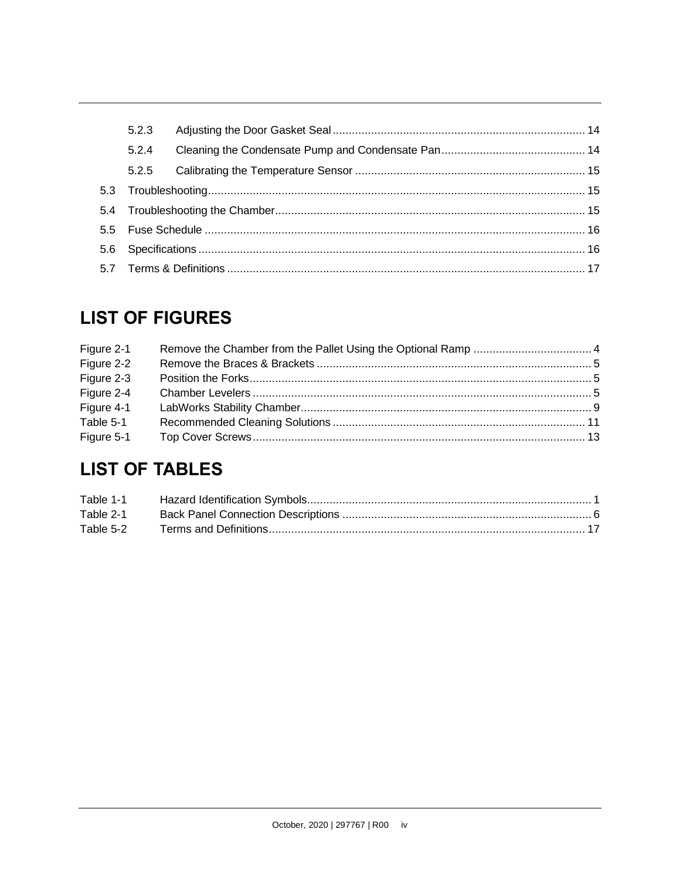| 5.2.3 |  |  |  |
|-------|--|--|--|
| 5.2.4 |  |  |  |
| 5.2.5 |  |  |  |
|       |  |  |  |
|       |  |  |  |
|       |  |  |  |
|       |  |  |  |
|       |  |  |  |

# **LIST OF FIGURES**

| Figure 2-1 |  |
|------------|--|
| Figure 2-2 |  |
| Figure 2-3 |  |
| Figure 2-4 |  |
| Figure 4-1 |  |
| Table 5-1  |  |
| Figure 5-1 |  |

# **LIST OF TABLES**

| Table 2-1 |  |
|-----------|--|
| Table 5-2 |  |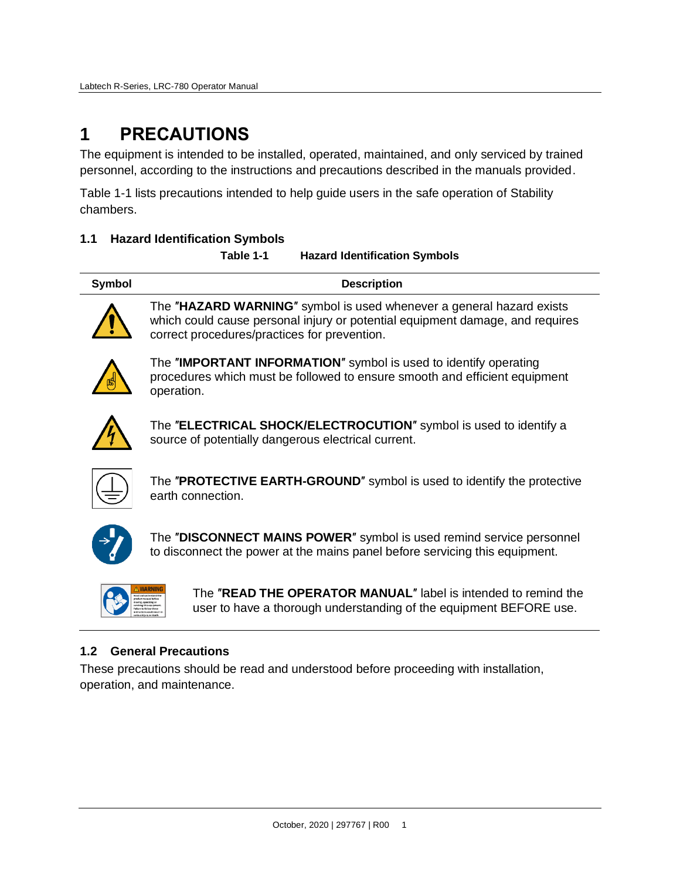# <span id="page-6-0"></span>**1 PRECAUTIONS**

The equipment is intended to be installed, operated, maintained, and only serviced by trained personnel, according to the instructions and precautions described in the manuals provided.

[Table 1-1](#page-6-3) lists precautions intended to help guide users in the safe operation of Stability chambers.

# <span id="page-6-3"></span><span id="page-6-1"></span>**1.1 Hazard Identification Symbols**

**Table 1-1 Hazard Identification Symbols**

| Symbol | <b>Description</b>                                                   |
|--------|----------------------------------------------------------------------|
|        | The "HAZARD WARNING" symbol is used whenever a general hazard evists |



The ″**HAZARD WARNING**″ symbol is used whenever a general hazard exists which could cause personal injury or potential equipment damage, and requires correct procedures/practices for prevention.



The ″**IMPORTANT INFORMATION**″ symbol is used to identify operating procedures which must be followed to ensure smooth and efficient equipment operation.



The ″**ELECTRICAL SHOCK/ELECTROCUTION**″ symbol is used to identify a source of potentially dangerous electrical current.



The ″**PROTECTIVE EARTH-GROUND**″ symbol is used to identify the protective earth connection.



The ″**DISCONNECT MAINS POWER**″ symbol is used remind service personnel to disconnect the power at the mains panel before servicing this equipment.

The ″**READ THE OPERATOR MANUAL**″ label is intended to remind the user to have a thorough understanding of the equipment BEFORE use.

# <span id="page-6-2"></span>**1.2 General Precautions**

These precautions should be read and understood before proceeding with installation, operation, and maintenance.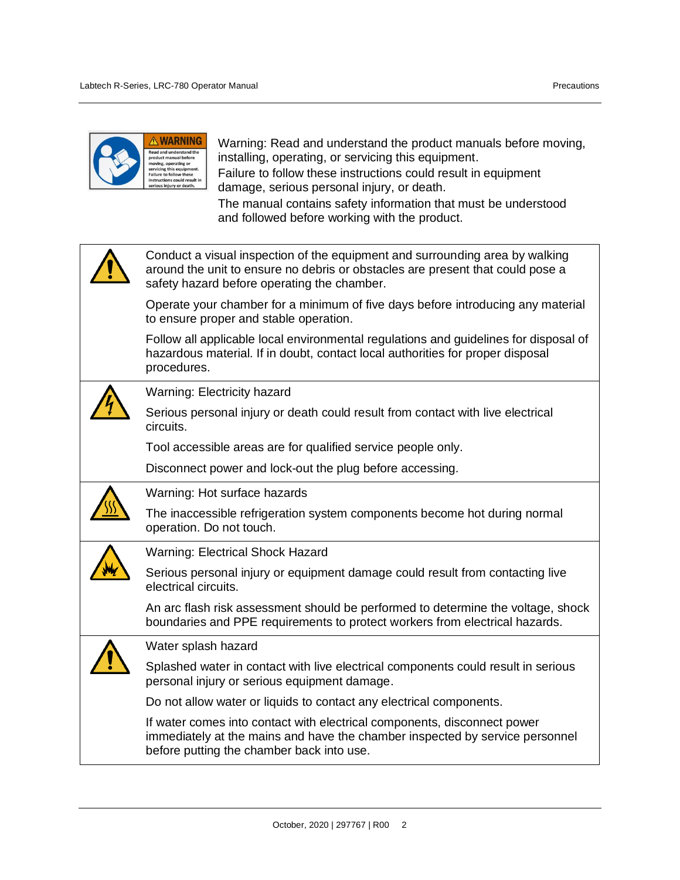| <b>A WARNING</b><br>Warning: Read and understand the product manuals before moving,<br>installing, operating, or servicing this equipment.<br>product manual before<br>noving, operating or<br>servicing this equipment.<br>Failure to follow these instructions could result in equipment<br><b>Failure to follow these</b><br>instructions could result in<br>serious injury or death.<br>damage, serious personal injury, or death.<br>The manual contains safety information that must be understood<br>and followed before working with the product. |
|-----------------------------------------------------------------------------------------------------------------------------------------------------------------------------------------------------------------------------------------------------------------------------------------------------------------------------------------------------------------------------------------------------------------------------------------------------------------------------------------------------------------------------------------------------------|
| Conduct a visual inspection of the equipment and surrounding area by walking<br>around the unit to ensure no debris or obstacles are present that could pose a<br>safety hazard before operating the chamber.                                                                                                                                                                                                                                                                                                                                             |
| Operate your chamber for a minimum of five days before introducing any material<br>to ensure proper and stable operation.                                                                                                                                                                                                                                                                                                                                                                                                                                 |
| Follow all applicable local environmental regulations and guidelines for disposal of<br>hazardous material. If in doubt, contact local authorities for proper disposal<br>procedures.                                                                                                                                                                                                                                                                                                                                                                     |
| Warning: Electricity hazard                                                                                                                                                                                                                                                                                                                                                                                                                                                                                                                               |
| Serious personal injury or death could result from contact with live electrical<br>circuits.                                                                                                                                                                                                                                                                                                                                                                                                                                                              |
| Tool accessible areas are for qualified service people only.                                                                                                                                                                                                                                                                                                                                                                                                                                                                                              |
| Disconnect power and lock-out the plug before accessing.                                                                                                                                                                                                                                                                                                                                                                                                                                                                                                  |
| Warning: Hot surface hazards                                                                                                                                                                                                                                                                                                                                                                                                                                                                                                                              |
| The inaccessible refrigeration system components become hot during normal<br>operation. Do not touch.                                                                                                                                                                                                                                                                                                                                                                                                                                                     |
| <b>Warning: Electrical Shock Hazard</b>                                                                                                                                                                                                                                                                                                                                                                                                                                                                                                                   |
| Serious personal injury or equipment damage could result from contacting live<br>electrical circuits.                                                                                                                                                                                                                                                                                                                                                                                                                                                     |
| An arc flash risk assessment should be performed to determine the voltage, shock<br>boundaries and PPE requirements to protect workers from electrical hazards.                                                                                                                                                                                                                                                                                                                                                                                           |
| Water splash hazard                                                                                                                                                                                                                                                                                                                                                                                                                                                                                                                                       |
| Splashed water in contact with live electrical components could result in serious<br>personal injury or serious equipment damage.                                                                                                                                                                                                                                                                                                                                                                                                                         |
| Do not allow water or liquids to contact any electrical components.                                                                                                                                                                                                                                                                                                                                                                                                                                                                                       |
| If water comes into contact with electrical components, disconnect power<br>immediately at the mains and have the chamber inspected by service personnel<br>before putting the chamber back into use.                                                                                                                                                                                                                                                                                                                                                     |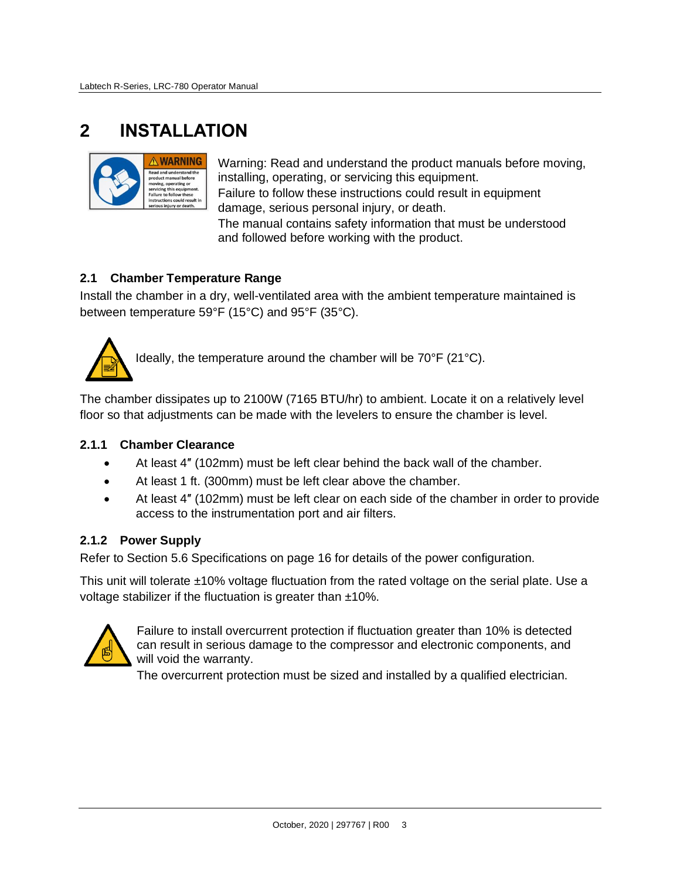# <span id="page-8-0"></span>**2 INSTALLATION**



Warning: Read and understand the product manuals before moving, installing, operating, or servicing this equipment. Failure to follow these instructions could result in equipment damage, serious personal injury, or death.

The manual contains safety information that must be understood and followed before working with the product.

### <span id="page-8-1"></span>**2.1 Chamber Temperature Range**

Install the chamber in a dry, well-ventilated area with the ambient temperature maintained is between temperature 59°F (15°C) and 95°F (35°C).



Ideally, the temperature around the chamber will be 70°F (21°C).

The chamber dissipates up to 2100W (7165 BTU/hr) to ambient. Locate it on a relatively level floor so that adjustments can be made with the levelers to ensure the chamber is level.

#### <span id="page-8-2"></span>**2.1.1 Chamber Clearance**

- At least 4″ (102mm) must be left clear behind the back wall of the chamber.
- At least 1 ft. (300mm) must be left clear above the chamber.
- At least 4" (102mm) must be left clear on each side of the chamber in order to provide access to the instrumentation port and air filters.

#### <span id="page-8-3"></span>**2.1.2 Power Supply**

Refer to Section [5.6](#page-21-1) [Specifications](#page-21-1) on page [16](#page-21-1) for details of the power configuration.

This unit will tolerate ±10% voltage fluctuation from the rated voltage on the serial plate. Use a voltage stabilizer if the fluctuation is greater than ±10%.



Failure to install overcurrent protection if fluctuation greater than 10% is detected can result in serious damage to the compressor and electronic components, and will void the warranty.

The overcurrent protection must be sized and installed by a qualified electrician.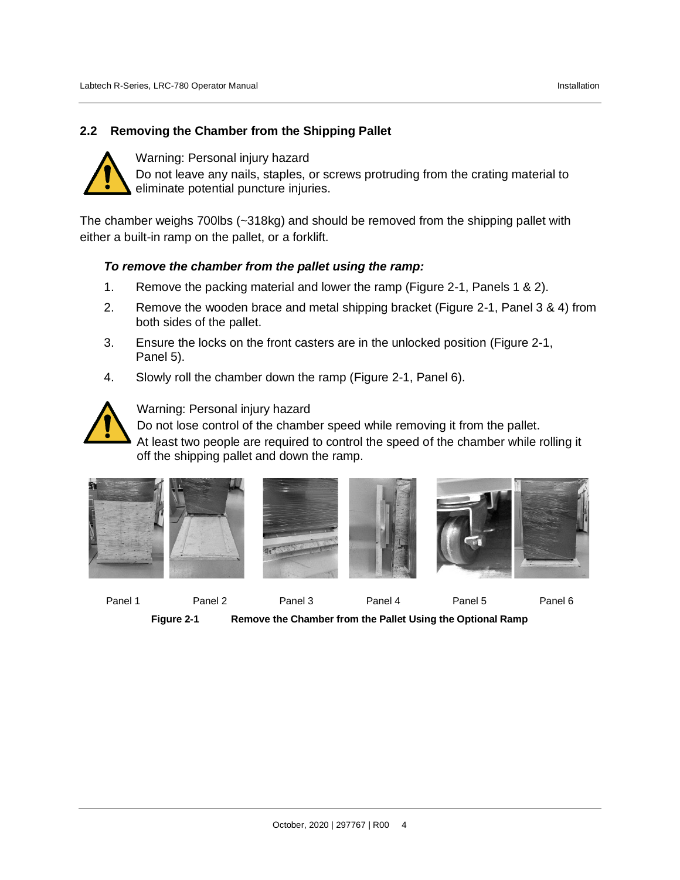### <span id="page-9-0"></span>**2.2 Removing the Chamber from the Shipping Pallet**



Warning: Personal injury hazard Do not leave any nails, staples, or screws protruding from the crating material to eliminate potential puncture injuries.

The chamber weighs 700lbs (~318kg) and should be removed from the shipping pallet with either a built-in ramp on the pallet, or a forklift.

#### *To remove the chamber from the pallet using the ramp:*

- 1. Remove the packing material and lower the ramp [\(Figure 2-1,](#page-9-1) Panels 1 & 2).
- 2. Remove the wooden brace and metal shipping bracket [\(Figure 2-1,](#page-9-1) Panel 3 & 4) from both sides of the pallet.
- 3. Ensure the locks on the front casters are in the unlocked position [\(Figure 2-1,](#page-9-1) Panel 5).
- 4. Slowly roll the chamber down the ramp [\(Figure 2-1,](#page-9-1) Panel 6).



Warning: Personal injury hazard

Do not lose control of the chamber speed while removing it from the pallet.

At least two people are required to control the speed of the chamber while rolling it off the shipping pallet and down the ramp.



<span id="page-9-1"></span>

Panel 1 Panel 2 Panel 3 Panel 4 Panel 5 Panel 6

**Figure 2-1 Remove the Chamber from the Pallet Using the Optional Ramp**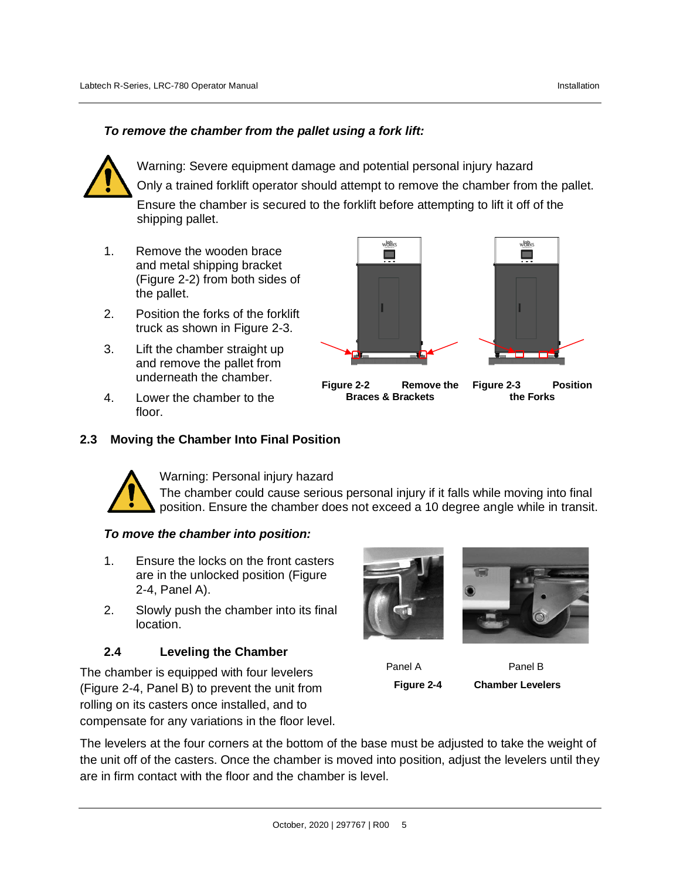# *To remove the chamber from the pallet using a fork lift:*



Warning: Severe equipment damage and potential personal injury hazard Only a trained forklift operator should attempt to remove the chamber from the pallet. Ensure the chamber is secured to the forklift before attempting to lift it off of the shipping pallet.

- 1. Remove the wooden brace and metal shipping bracket [\(Figure 2-2\)](#page-10-2) from both sides of the pallet.
- 2. Position the forks of the forklift truck as shown in [Figure 2-3.](#page-10-3)
- 3. Lift the chamber straight up and remove the pallet from underneath the chamber.
- 4. Lower the chamber to the floor.



<span id="page-10-2"></span>**Figure 2-2 Remove the Braces & Brackets**

<span id="page-10-3"></span>**Figure 2-3 Position** 

**the Forks**

### <span id="page-10-0"></span>**2.3 Moving the Chamber Into Final Position**



Warning: Personal injury hazard

The chamber could cause serious personal injury if it falls while moving into final position. Ensure the chamber does not exceed a 10 degree angle while in transit.

#### *To move the chamber into position:*

- 1. Ensure the locks on the front casters are in the unlocked position [\(Figure](#page-10-4)  [2-4,](#page-10-4) Panel A).
- 2. Slowly push the chamber into its final location.

#### <span id="page-10-1"></span>**2.4 Leveling the Chamber**

The chamber is equipped with four levelers [\(Figure 2-4,](#page-10-4) Panel B) to prevent the unit from rolling on its casters once installed, and to compensate for any variations in the floor level.



<span id="page-10-4"></span>

Panel A Panel B **Figure 2-4 Chamber Levelers**

The levelers at the four corners at the bottom of the base must be adjusted to take the weight of the unit off of the casters. Once the chamber is moved into position, adjust the levelers until they are in firm contact with the floor and the chamber is level.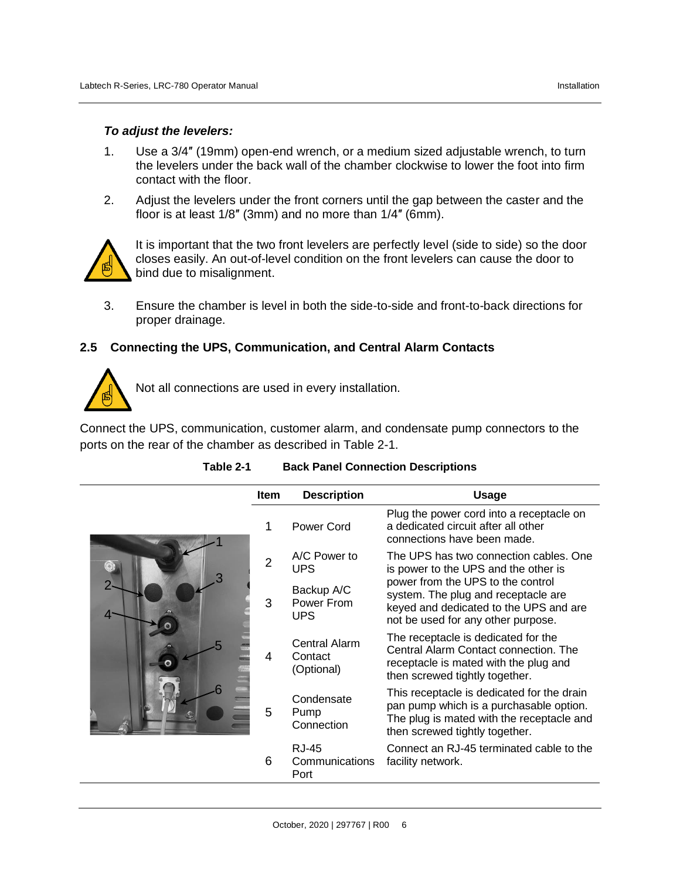#### *To adjust the levelers:*

- 1. Use a 3/4″ (19mm) open-end wrench, or a medium sized adjustable wrench, to turn the levelers under the back wall of the chamber clockwise to lower the foot into firm contact with the floor.
- 2. Adjust the levelers under the front corners until the gap between the caster and the floor is at least 1/8″ (3mm) and no more than 1/4″ (6mm).



It is important that the two front levelers are perfectly level (side to side) so the door closes easily. An out-of-level condition on the front levelers can cause the door to bind due to misalignment.

3. Ensure the chamber is level in both the side-to-side and front-to-back directions for proper drainage.

#### <span id="page-11-0"></span>**2.5 Connecting the UPS, Communication, and Central Alarm Contacts**



Not all connections are used in every installation.

Connect the UPS, communication, customer alarm, and condensate pump connectors to the ports on the rear of the chamber as described in [Table 2-1.](#page-11-1)

<span id="page-11-1"></span>

| <b>Item</b> | <b>Description</b>                     | <b>Usage</b>                                                                                                                                                         |
|-------------|----------------------------------------|----------------------------------------------------------------------------------------------------------------------------------------------------------------------|
| 1           | Power Cord                             | Plug the power cord into a receptacle on<br>a dedicated circuit after all other<br>connections have been made.                                                       |
| 2           | A/C Power to<br><b>UPS</b>             | The UPS has two connection cables. One<br>is power to the UPS and the other is                                                                                       |
| 3           | Backup A/C<br>Power From<br><b>UPS</b> | power from the UPS to the control<br>system. The plug and receptacle are<br>keyed and dedicated to the UPS and are<br>not be used for any other purpose.             |
| 4           | Central Alarm<br>Contact<br>(Optional) | The receptacle is dedicated for the<br>Central Alarm Contact connection. The<br>receptacle is mated with the plug and<br>then screwed tightly together.              |
| 5           | Condensate<br>Pump<br>Connection       | This receptacle is dedicated for the drain<br>pan pump which is a purchasable option.<br>The plug is mated with the receptacle and<br>then screwed tightly together. |
| 6           | <b>RJ-45</b><br>Communications<br>Port | Connect an RJ-45 terminated cable to the<br>facility network.                                                                                                        |

#### **Table 2-1 Back Panel Connection Descriptions**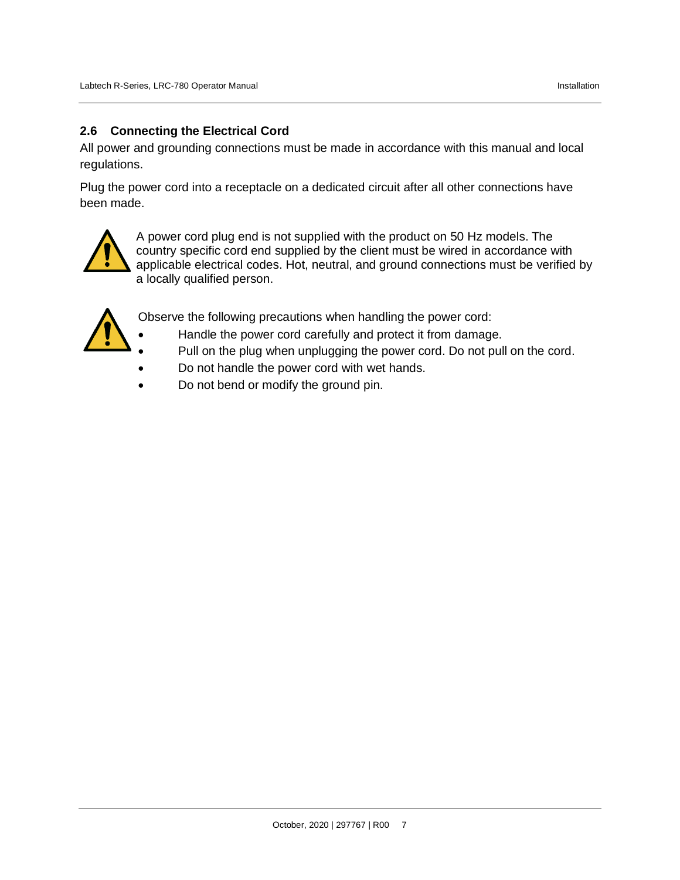### <span id="page-12-0"></span>**2.6 Connecting the Electrical Cord**

All power and grounding connections must be made in accordance with this manual and local regulations.

Plug the power cord into a receptacle on a dedicated circuit after all other connections have been made.



A power cord plug end is not supplied with the product on 50 Hz models. The country specific cord end supplied by the client must be wired in accordance with applicable electrical codes. Hot, neutral, and ground connections must be verified by a locally qualified person.



Observe the following precautions when handling the power cord:

- Handle the power cord carefully and protect it from damage.
- Pull on the plug when unplugging the power cord. Do not pull on the cord.
- Do not handle the power cord with wet hands.
- Do not bend or modify the ground pin.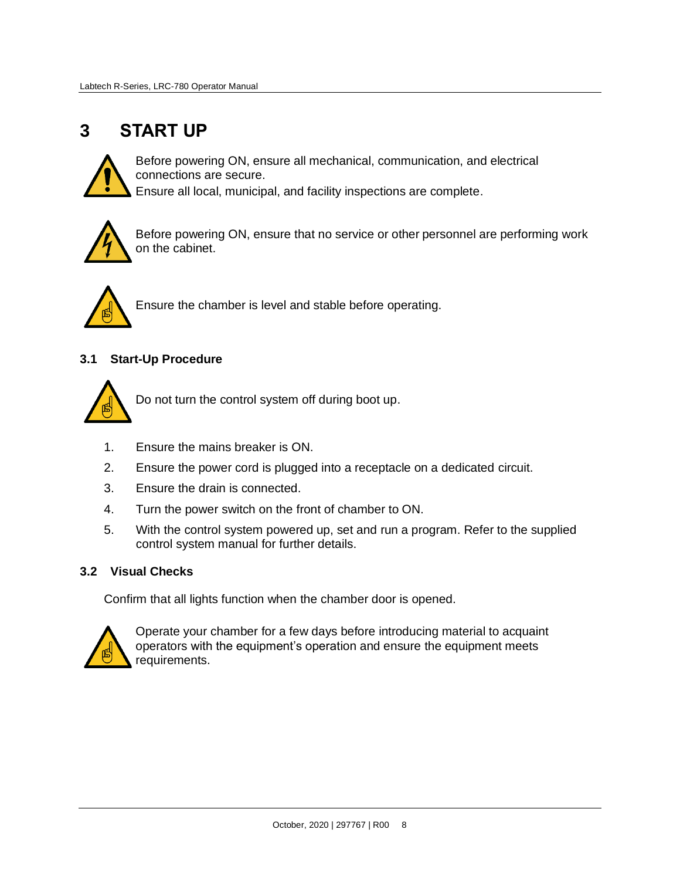# <span id="page-13-0"></span>**3 START UP**



Before powering ON, ensure all mechanical, communication, and electrical connections are secure.

Ensure all local, municipal, and facility inspections are complete.



Before powering ON, ensure that no service or other personnel are performing work on the cabinet.



Ensure the chamber is level and stable before operating.

# <span id="page-13-1"></span>**3.1 Start-Up Procedure**



Do not turn the control system off during boot up.

- 1. Ensure the mains breaker is ON.
- 2. Ensure the power cord is plugged into a receptacle on a dedicated circuit.
- 3. Ensure the drain is connected.
- 4. Turn the power switch on the front of chamber to ON.
- 5. With the control system powered up, set and run a program. Refer to the supplied control system manual for further details.

#### <span id="page-13-2"></span>**3.2 Visual Checks**

Confirm that all lights function when the chamber door is opened.



Operate your chamber for a few days before introducing material to acquaint operators with the equipment's operation and ensure the equipment meets requirements.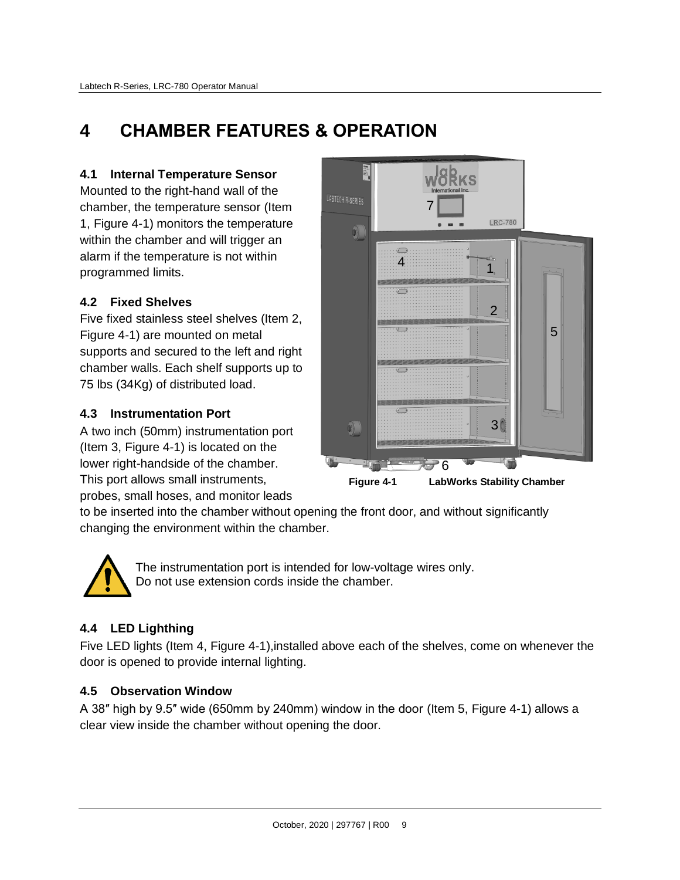# <span id="page-14-0"></span>**4 CHAMBER FEATURES & OPERATION**

# <span id="page-14-1"></span>**4.1 Internal Temperature Sensor**

Mounted to the right-hand wall of the chamber, the temperature sensor (Item 1, [Figure 4-1\)](#page-14-6) monitors the temperature within the chamber and will trigger an alarm if the temperature is not within programmed limits.

# <span id="page-14-2"></span>**4.2 Fixed Shelves**

Five fixed stainless steel shelves (Item 2, [Figure 4-1\)](#page-14-6) are mounted on metal supports and secured to the left and right chamber walls. Each shelf supports up to 75 lbs (34Kg) of distributed load.

# <span id="page-14-3"></span>**4.3 Instrumentation Port**

A two inch (50mm) instrumentation port (Item 3, [Figure 4-1\)](#page-14-6) is located on the lower right-handside of the chamber. This port allows small instruments, probes, small hoses, and monitor leads



<span id="page-14-6"></span>**Figure 4-1 LabWorks Stability Chamber**

to be inserted into the chamber without opening the front door, and without significantly changing the environment within the chamber.



The instrumentation port is intended for low-voltage wires only. Do not use extension cords inside the chamber.

# <span id="page-14-4"></span>**4.4 LED Lighthing**

Five LED lights (Item 4, [Figure 4-1\)](#page-14-6),installed above each of the shelves, come on whenever the door is opened to provide internal lighting.

# <span id="page-14-5"></span>**4.5 Observation Window**

A 38″ high by 9.5″ wide (650mm by 240mm) window in the door (Item 5, [Figure 4-1\)](#page-14-6) allows a clear view inside the chamber without opening the door.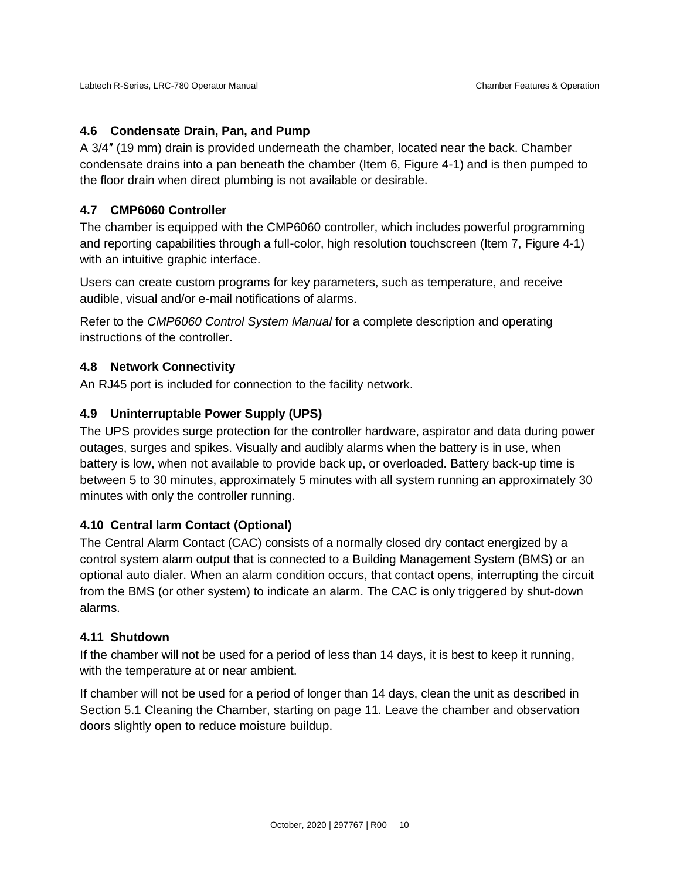### <span id="page-15-0"></span>**4.6 Condensate Drain, Pan, and Pump**

A 3/4″ (19 mm) drain is provided underneath the chamber, located near the back. Chamber condensate drains into a pan beneath the chamber (Item 6, [Figure 4-1\)](#page-14-6) and is then pumped to the floor drain when direct plumbing is not available or desirable.

### <span id="page-15-1"></span>**4.7 CMP6060 Controller**

The chamber is equipped with the CMP6060 controller, which includes powerful programming and reporting capabilities through a full-color, high resolution touchscreen (Item 7, [Figure 4-1\)](#page-14-6) with an intuitive graphic interface.

Users can create custom programs for key parameters, such as temperature, and receive audible, visual and/or e-mail notifications of alarms.

Refer to the *CMP6060 Control System Manual* for a complete description and operating instructions of the controller.

#### <span id="page-15-2"></span>**4.8 Network Connectivity**

An RJ45 port is included for connection to the facility network.

#### <span id="page-15-3"></span>**4.9 Uninterruptable Power Supply (UPS)**

The UPS provides surge protection for the controller hardware, aspirator and data during power outages, surges and spikes. Visually and audibly alarms when the battery is in use, when battery is low, when not available to provide back up, or overloaded. Battery back-up time is between 5 to 30 minutes, approximately 5 minutes with all system running an approximately 30 minutes with only the controller running.

#### <span id="page-15-4"></span>**4.10 Central larm Contact (Optional)**

The Central Alarm Contact (CAC) consists of a normally closed dry contact energized by a control system alarm output that is connected to a Building Management System (BMS) or an optional auto dialer. When an alarm condition occurs, that contact opens, interrupting the circuit from the BMS (or other system) to indicate an alarm. The CAC is only triggered by shut-down alarms.

#### <span id="page-15-5"></span>**4.11 Shutdown**

If the chamber will not be used for a period of less than 14 days, it is best to keep it running, with the temperature at or near ambient.

If chamber will not be used for a period of longer than 14 days, clean the unit as described in Section [5.1](#page-16-1) Cleaning [the Chamber,](#page-16-1) starting on page [11.](#page-16-1) Leave the chamber and observation doors slightly open to reduce moisture buildup.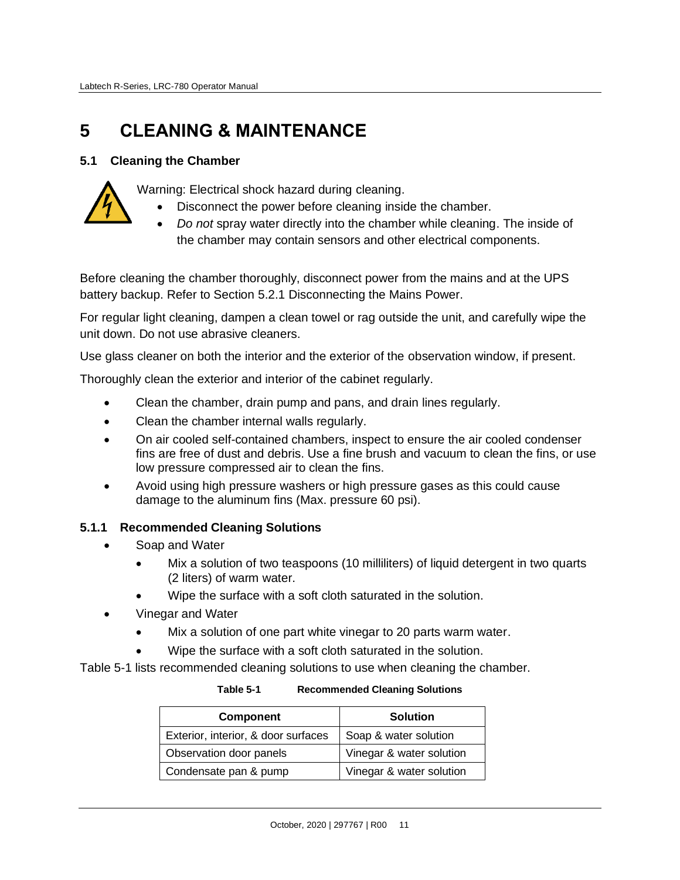# <span id="page-16-0"></span>**5 CLEANING & MAINTENANCE**

### <span id="page-16-1"></span>**5.1 Cleaning the Chamber**



- Warning: Electrical shock hazard during cleaning.
	- Disconnect the power before cleaning inside the chamber.
	- *Do not* spray water directly into the chamber while cleaning. The inside of the chamber may contain sensors and other electrical components.

Before cleaning the chamber thoroughly, disconnect power from the mains and at the UPS battery backup. Refer to Section [5.2.1](#page-18-0) Disconnecting [the Mains Power.](#page-18-0)

For regular light cleaning, dampen a clean towel or rag outside the unit, and carefully wipe the unit down. Do not use abrasive cleaners.

Use glass cleaner on both the interior and the exterior of the observation window, if present.

Thoroughly clean the exterior and interior of the cabinet regularly.

- Clean the chamber, drain pump and pans, and drain lines regularly.
- Clean the chamber internal walls regularly.
- On air cooled self-contained chambers, inspect to ensure the air cooled condenser fins are free of dust and debris. Use a fine brush and vacuum to clean the fins, or use low pressure compressed air to clean the fins.
- Avoid using high pressure washers or high pressure gases as this could cause damage to the aluminum fins (Max. pressure 60 psi).

#### <span id="page-16-2"></span>**5.1.1 Recommended Cleaning Solutions**

- Soap and Water
	- Mix a solution of two teaspoons (10 milliliters) of liquid detergent in two quarts (2 liters) of warm water.
	- Wipe the surface with a soft cloth saturated in the solution.
- Vinegar and Water
	- Mix a solution of one part white vinegar to 20 parts warm water.
	- Wipe the surface with a soft cloth saturated in the solution.

<span id="page-16-3"></span>[Table 5-1](#page-16-3) lists recommended cleaning solutions to use when cleaning the chamber.

| Table 5-1 | <b>Recommended Cleaning Solutions</b> |
|-----------|---------------------------------------|
|-----------|---------------------------------------|

| <b>Component</b>                    | <b>Solution</b>          |
|-------------------------------------|--------------------------|
| Exterior, interior, & door surfaces | Soap & water solution    |
| Observation door panels             | Vinegar & water solution |
| Condensate pan & pump               | Vinegar & water solution |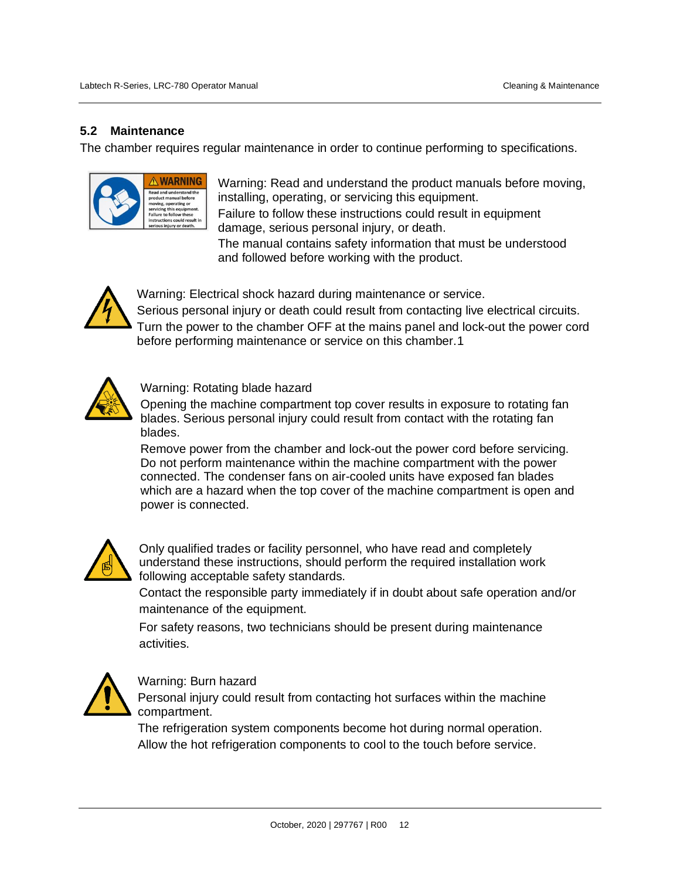### <span id="page-17-0"></span>**5.2 Maintenance**

The chamber requires regular maintenance in order to continue performing to specifications.



Warning: Read and understand the product manuals before moving, installing, operating, or servicing this equipment. Failure to follow these instructions could result in equipment

damage, serious personal injury, or death.

The manual contains safety information that must be understood and followed before working with the product.



Warning: Electrical shock hazard during maintenance or service.

Serious personal injury or death could result from contacting live electrical circuits. Turn the power to the chamber OFF at the mains panel and lock-out the power cord before performing maintenance or service on this chamber.1



Warning: Rotating blade hazard

Opening the machine compartment top cover results in exposure to rotating fan blades. Serious personal injury could result from contact with the rotating fan blades.

Remove power from the chamber and lock-out the power cord before servicing. Do not perform maintenance within the machine compartment with the power connected. The condenser fans on air-cooled units have exposed fan blades which are a hazard when the top cover of the machine compartment is open and power is connected.



Only qualified trades or facility personnel, who have read and completely understand these instructions, should perform the required installation work following acceptable safety standards.

Contact the responsible party immediately if in doubt about safe operation and/or maintenance of the equipment.

For safety reasons, two technicians should be present during maintenance activities.



#### Warning: Burn hazard

Personal injury could result from contacting hot surfaces within the machine compartment.

The refrigeration system components become hot during normal operation. Allow the hot refrigeration components to cool to the touch before service.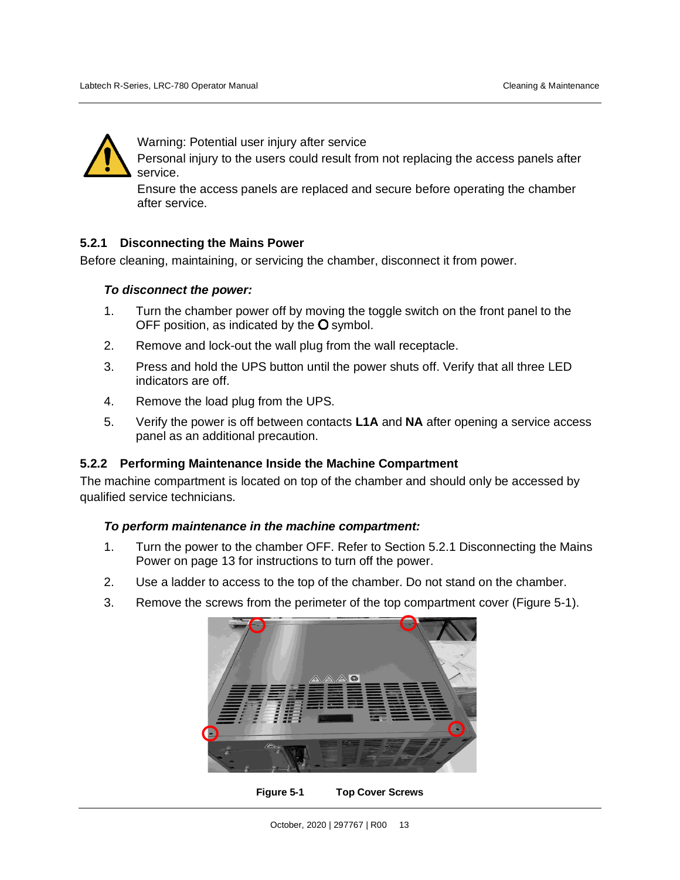

Warning: Potential user injury after service

Personal injury to the users could result from not replacing the access panels after service.

Ensure the access panels are replaced and secure before operating the chamber after service.

#### <span id="page-18-0"></span>**5.2.1 Disconnecting the Mains Power**

Before cleaning, maintaining, or servicing the chamber, disconnect it from power.

#### *To disconnect the power:*

- 1. Turn the chamber power off by moving the toggle switch on the front panel to the OFF position, as indicated by the  $O$  symbol.
- 2. Remove and lock-out the wall plug from the wall receptacle.
- 3. Press and hold the UPS button until the power shuts off. Verify that all three LED indicators are off.
- 4. Remove the load plug from the UPS.
- 5. Verify the power is off between contacts **L1A** and **NA** after opening a service access panel as an additional precaution.

#### <span id="page-18-1"></span>**5.2.2 Performing Maintenance Inside the Machine Compartment**

The machine compartment is located on top of the chamber and should only be accessed by qualified service technicians.

#### *To perform maintenance in the machine compartment:*

- 1. Turn the power to the chamber OFF. Refer to Section [5.2.1](#page-18-0) [Disconnecting](#page-18-0) the Mains [Power](#page-18-0) on page [13](#page-18-0) for instructions to turn off the power.
- 2. Use a ladder to access to the top of the chamber. Do not stand on the chamber.
- <span id="page-18-2"></span>3. Remove the screws from the perimeter of the top compartment cover [\(Figure 5-1\)](#page-18-2).



**Figure 5-1 Top Cover Screws**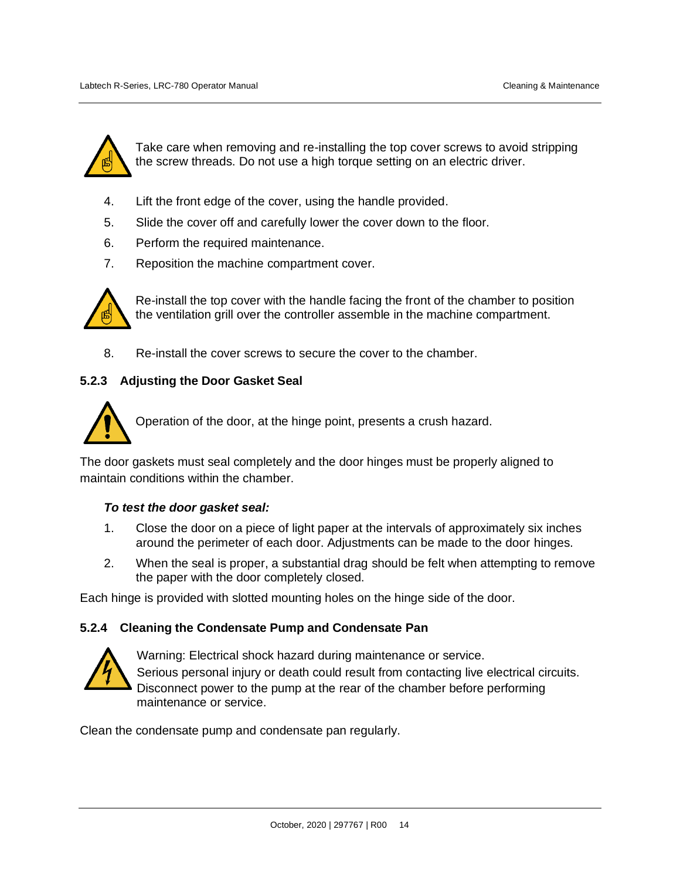

Take care when removing and re-installing the top cover screws to avoid stripping the screw threads. Do not use a high torque setting on an electric driver.

- 4. Lift the front edge of the cover, using the handle provided.
- 5. Slide the cover off and carefully lower the cover down to the floor.
- 6. Perform the required maintenance.
- 7. Reposition the machine compartment cover.



Re-install the top cover with the handle facing the front of the chamber to position the ventilation grill over the controller assemble in the machine compartment.

8. Re-install the cover screws to secure the cover to the chamber.

#### <span id="page-19-0"></span>**5.2.3 Adjusting the Door Gasket Seal**



Operation of the door, at the hinge point, presents a crush hazard.

The door gaskets must seal completely and the door hinges must be properly aligned to maintain conditions within the chamber.

#### *To test the door gasket seal:*

- 1. Close the door on a piece of light paper at the intervals of approximately six inches around the perimeter of each door. Adjustments can be made to the door hinges.
- 2. When the seal is proper, a substantial drag should be felt when attempting to remove the paper with the door completely closed.

Each hinge is provided with slotted mounting holes on the hinge side of the door.

#### <span id="page-19-1"></span>**5.2.4 Cleaning the Condensate Pump and Condensate Pan**



Warning: Electrical shock hazard during maintenance or service. Serious personal injury or death could result from contacting live electrical circuits. Disconnect power to the pump at the rear of the chamber before performing maintenance or service.

Clean the condensate pump and condensate pan regularly.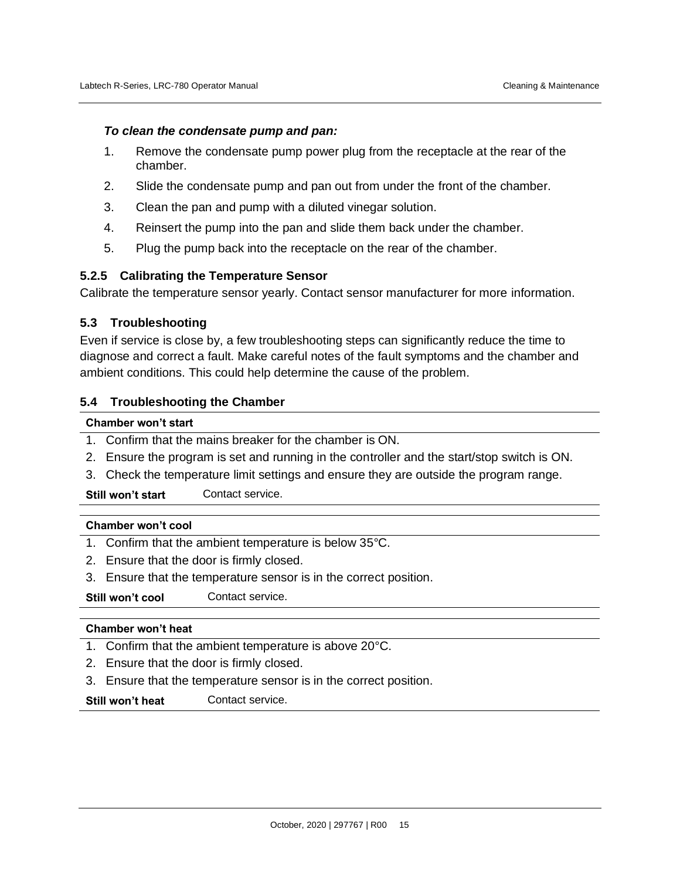#### *To clean the condensate pump and pan:*

- 1. Remove the condensate pump power plug from the receptacle at the rear of the chamber.
- 2. Slide the condensate pump and pan out from under the front of the chamber.
- 3. Clean the pan and pump with a diluted vinegar solution.
- 4. Reinsert the pump into the pan and slide them back under the chamber.
- 5. Plug the pump back into the receptacle on the rear of the chamber.

#### <span id="page-20-0"></span>**5.2.5 Calibrating the Temperature Sensor**

Calibrate the temperature sensor yearly. Contact sensor manufacturer for more information.

#### <span id="page-20-1"></span>**5.3 Troubleshooting**

Even if service is close by, a few troubleshooting steps can significantly reduce the time to diagnose and correct a fault. Make careful notes of the fault symptoms and the chamber and ambient conditions. This could help determine the cause of the problem.

#### <span id="page-20-2"></span>**5.4 Troubleshooting the Chamber**

#### **Chamber won't start**

- 1. Confirm that the mains breaker for the chamber is ON.
- 2. Ensure the program is set and running in the controller and the start/stop switch is ON.
- 3. Check the temperature limit settings and ensure they are outside the program range.

**Still won't start** Contact service.

#### **Chamber won't cool**

- 1. Confirm that the ambient temperature is below 35°C.
- 2. Ensure that the door is firmly closed.
- 3. Ensure that the temperature sensor is in the correct position.
- **Still won't cool** Contact service.

#### **Chamber won't heat**

- 1. Confirm that the ambient temperature is above 20°C.
- 2. Ensure that the door is firmly closed.
- 3. Ensure that the temperature sensor is in the correct position.

**Still won't heat** Contact service.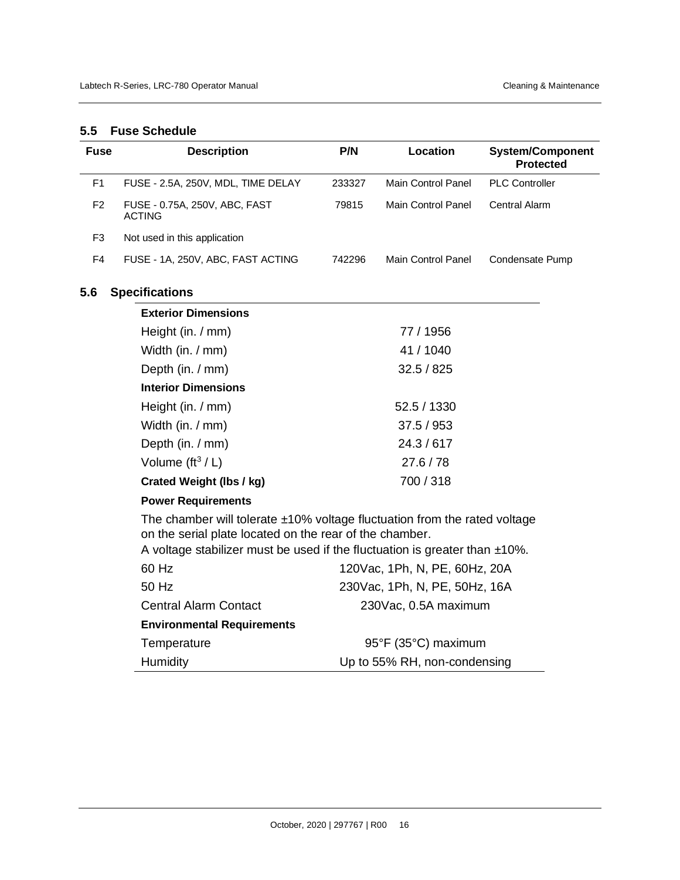#### <span id="page-21-0"></span>**5.5 Fuse Schedule**

<span id="page-21-1"></span>

| <b>Fuse</b>    | <b>Description</b>                                                                                                                      | P/N    | Location                      | <b>System/Component</b><br><b>Protected</b> |
|----------------|-----------------------------------------------------------------------------------------------------------------------------------------|--------|-------------------------------|---------------------------------------------|
| F <sub>1</sub> | FUSE - 2.5A, 250V, MDL, TIME DELAY                                                                                                      | 233327 | <b>Main Control Panel</b>     | <b>PLC Controller</b>                       |
| F <sub>2</sub> | FUSE - 0.75A, 250V, ABC, FAST<br><b>ACTING</b>                                                                                          | 79815  | Main Control Panel            | Central Alarm                               |
| F3             | Not used in this application                                                                                                            |        |                               |                                             |
| F4             | FUSE - 1A, 250V, ABC, FAST ACTING                                                                                                       | 742296 | Main Control Panel            | Condensate Pump                             |
| 5.6            | <b>Specifications</b>                                                                                                                   |        |                               |                                             |
|                | <b>Exterior Dimensions</b>                                                                                                              |        |                               |                                             |
|                | Height (in. / mm)                                                                                                                       |        | 77 / 1956                     |                                             |
|                | Width (in. / mm)                                                                                                                        |        | 41 / 1040                     |                                             |
|                | Depth (in. / mm)                                                                                                                        |        | 32.5 / 825                    |                                             |
|                | <b>Interior Dimensions</b>                                                                                                              |        |                               |                                             |
|                | Height (in. / mm)                                                                                                                       |        | 52.5 / 1330                   |                                             |
|                | Width (in. / mm)                                                                                                                        |        | 37.5/953                      |                                             |
|                | Depth (in. / mm)                                                                                                                        |        | 24.3 / 617                    |                                             |
|                | Volume $(\text{ft}^3 / L)$                                                                                                              |        | 27.6 / 78                     |                                             |
|                | <b>Crated Weight (lbs / kg)</b>                                                                                                         |        | 700 / 318                     |                                             |
|                | <b>Power Requirements</b>                                                                                                               |        |                               |                                             |
|                | The chamber will tolerate $±10\%$ voltage fluctuation from the rated voltage<br>on the serial plate located on the rear of the chamber. |        |                               |                                             |
|                | A voltage stabilizer must be used if the fluctuation is greater than $±10\%$ .<br>60 Hz                                                 |        |                               |                                             |
|                |                                                                                                                                         |        | 120Vac, 1Ph, N, PE, 60Hz, 20A |                                             |
|                | 50 Hz                                                                                                                                   |        | 230Vac, 1Ph, N, PE, 50Hz, 16A |                                             |
|                | <b>Central Alarm Contact</b>                                                                                                            |        | 230Vac, 0.5A maximum          |                                             |
|                | <b>Environmental Requirements</b>                                                                                                       |        |                               |                                             |
|                | Temperature                                                                                                                             |        | 95°F (35°C) maximum           |                                             |
|                | Humidity                                                                                                                                |        | Up to 55% RH, non-condensing  |                                             |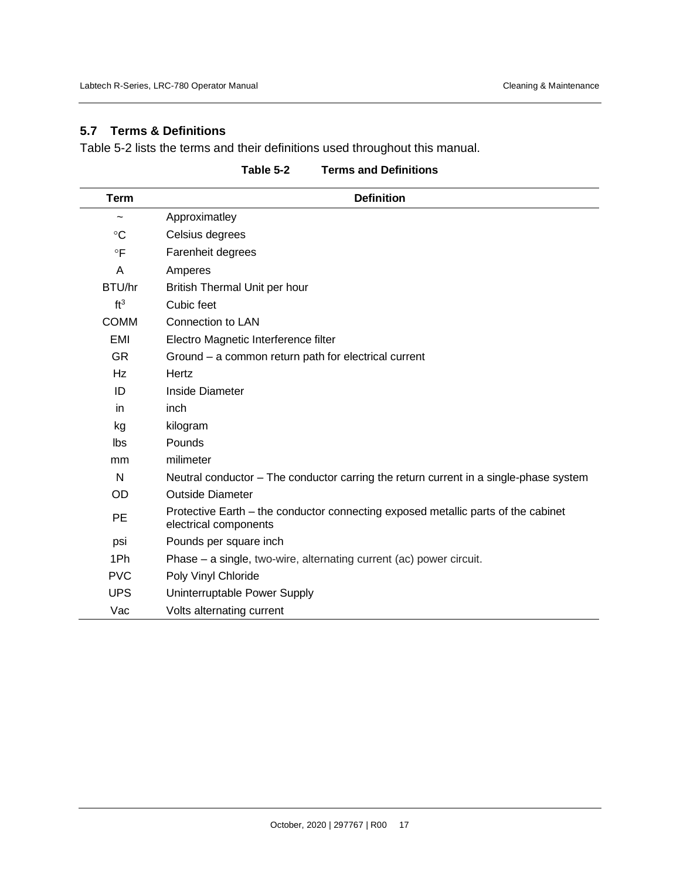### <span id="page-22-0"></span>**5.7 Terms & Definitions**

[Table 5-2](#page-22-1) lists the terms and their definitions used throughout this manual.

<span id="page-22-1"></span>

| <b>Term</b>     | <b>Definition</b>                                                                                          |
|-----------------|------------------------------------------------------------------------------------------------------------|
| $\tilde{}$      | Approximatley                                                                                              |
| $\rm ^{\circ}C$ | Celsius degrees                                                                                            |
| $\circ$ F       | Farenheit degrees                                                                                          |
| A               | Amperes                                                                                                    |
| BTU/hr          | British Thermal Unit per hour                                                                              |
| ft <sup>3</sup> | Cubic feet                                                                                                 |
| <b>COMM</b>     | <b>Connection to LAN</b>                                                                                   |
| <b>EMI</b>      | Electro Magnetic Interference filter                                                                       |
| <b>GR</b>       | Ground – a common return path for electrical current                                                       |
| Hz              | Hertz                                                                                                      |
| ID              | Inside Diameter                                                                                            |
| in              | inch                                                                                                       |
| kg              | kilogram                                                                                                   |
| Ibs             | Pounds                                                                                                     |
| mm              | milimeter                                                                                                  |
| N               | Neutral conductor – The conductor carring the return current in a single-phase system                      |
| OD              | <b>Outside Diameter</b>                                                                                    |
| <b>PE</b>       | Protective Earth – the conductor connecting exposed metallic parts of the cabinet<br>electrical components |
| psi             | Pounds per square inch                                                                                     |
| 1Ph             | Phase – a single, two-wire, alternating current (ac) power circuit.                                        |
| <b>PVC</b>      | Poly Vinyl Chloride                                                                                        |
| <b>UPS</b>      | Uninterruptable Power Supply                                                                               |
| Vac             | Volts alternating current                                                                                  |

**Table 5-2 Terms and Definitions**